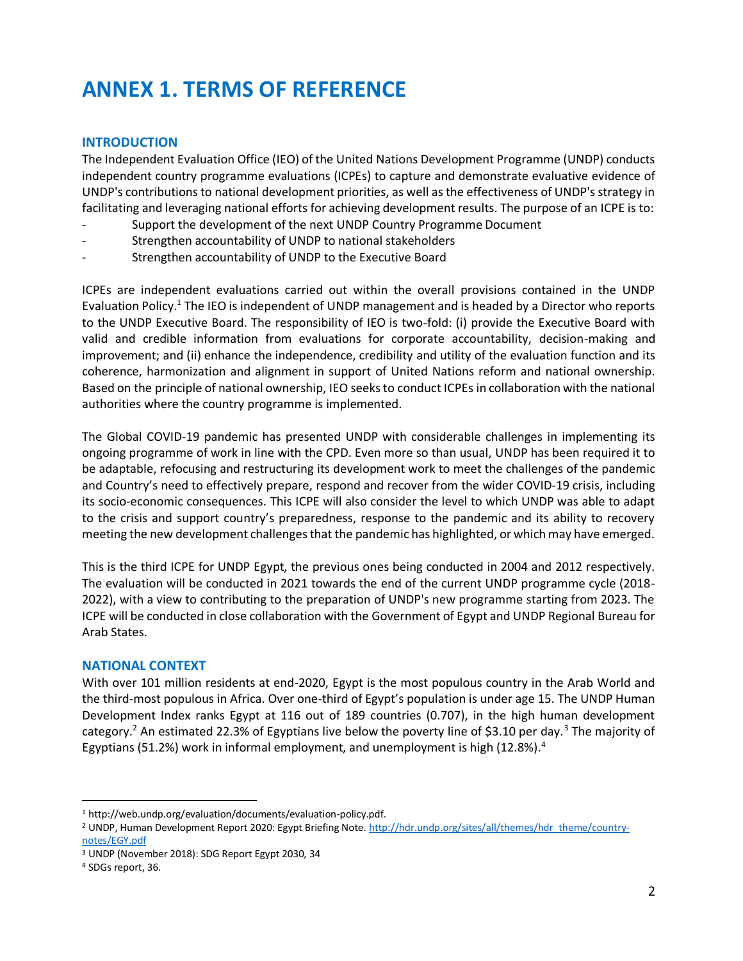# **ANNEX 1. TERMS OF REFERENCE**

# **INTRODUCTION**

The Independent Evaluation Office (IEO) of the United Nations Development Programme (UNDP) conducts independent country programme evaluations (ICPEs) to capture and demonstrate evaluative evidence of UNDP's contributions to national development priorities, as well as the effectiveness of UNDP's strategy in facilitating and leveraging national efforts for achieving development results. The purpose of an ICPE is to:

- Support the development of the next UNDP Country Programme Document
- Strengthen accountability of UNDP to national stakeholders
- Strengthen accountability of UNDP to the Executive Board

ICPEs are independent evaluations carried out within the overall provisions contained in the UNDP Evaluation Policy.<sup>1</sup> The IEO is independent of UNDP management and is headed by a Director who reports to the UNDP Executive Board. The responsibility of IEO is two-fold: (i) provide the Executive Board with valid and credible information from evaluations for corporate accountability, decision-making and improvement; and (ii) enhance the independence, credibility and utility of the evaluation function and its coherence, harmonization and alignment in support of United Nations reform and national ownership. Based on the principle of national ownership, IEO seeksto conduct ICPEs in collaboration with the national authorities where the country programme is implemented.

The Global COVID-19 pandemic has presented UNDP with considerable challenges in implementing its ongoing programme of work in line with the CPD. Even more so than usual, UNDP has been required it to be adaptable, refocusing and restructuring its development work to meet the challenges of the pandemic and Country's need to effectively prepare, respond and recover from the wider COVID-19 crisis, including its socio-economic consequences. This ICPE will also consider the level to which UNDP was able to adapt to the crisis and support country's preparedness, response to the pandemic and its ability to recovery meeting the new development challenges that the pandemic has highlighted, or which may have emerged.

This is the third ICPE for UNDP Egypt, the previous ones being conducted in 2004 and 2012 respectively. The evaluation will be conducted in 2021 towards the end of the current UNDP programme cycle (2018- 2022), with a view to contributing to the preparation of UNDP's new programme starting from 2023. The ICPE will be conducted in close collaboration with the Government of Egypt and UNDP Regional Bureau for Arab States.

#### **NATIONAL CONTEXT**

With over 101 million residents at end-2020, Egypt is the most populous country in the Arab World and the third-most populous in Africa. Over one-third of Egypt's population is under age 15. The UNDP Human Development Index ranks Egypt at 116 out of 189 countries (0.707), in the high human development category.<sup>2</sup> An estimated 22.3% of Egyptians live below the poverty line of \$3.10 per day.<sup>3</sup> The majority of Egyptians (51.2%) work in informal employment, and unemployment is high  $(12.8\%)$ .<sup>4</sup>

<sup>1</sup> http://web.undp.org/evaluation/documents/evaluation-policy.pdf.

<sup>&</sup>lt;sup>2</sup> UNDP, Human Development Report 2020: Egypt Briefing Note. [http://hdr.undp.org/sites/all/themes/hdr\\_theme/country](http://hdr.undp.org/sites/all/themes/hdr_theme/country-notes/EGY.pdf)[notes/EGY.pdf](http://hdr.undp.org/sites/all/themes/hdr_theme/country-notes/EGY.pdf)

<sup>3</sup> UNDP (November 2018): SDG Report Egypt 2030, 34

<sup>4</sup> SDGs report, 36.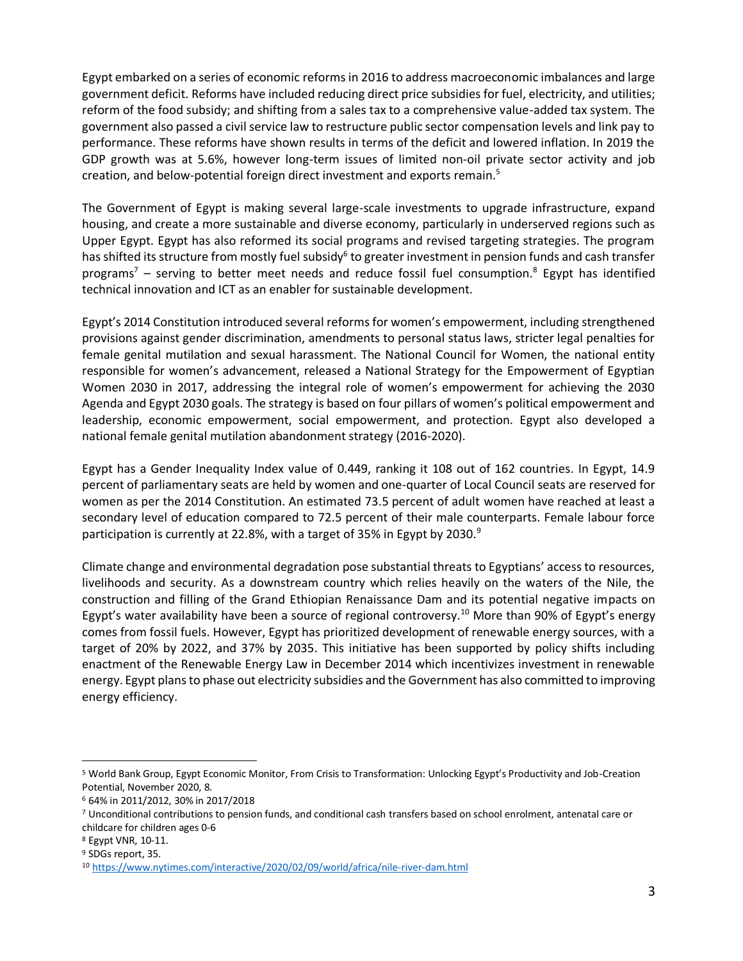Egypt embarked on a series of economic reforms in 2016 to address macroeconomic imbalances and large government deficit. Reforms have included reducing direct price subsidies for fuel, electricity, and utilities; reform of the food subsidy; and shifting from a sales tax to a comprehensive value-added tax system. The government also passed a civil service law to restructure public sector compensation levels and link pay to performance. These reforms have shown results in terms of the deficit and lowered inflation. In 2019 the GDP growth was at 5.6%, however long-term issues of limited non-oil private sector activity and job creation, and below-potential foreign direct investment and exports remain.<sup>5</sup>

The Government of Egypt is making several large-scale investments to upgrade infrastructure, expand housing, and create a more sustainable and diverse economy, particularly in underserved regions such as Upper Egypt. Egypt has also reformed its social programs and revised targeting strategies. The program has shifted its structure from mostly fuel subsidy<sup>6</sup> to greater investment in pension funds and cash transfer programs<sup>7</sup> – serving to better meet needs and reduce fossil fuel consumption.<sup>8</sup> Egypt has identified technical innovation and ICT as an enabler for sustainable development.

Egypt's 2014 Constitution introduced several reforms for women's empowerment, including strengthened provisions against gender discrimination, amendments to personal status laws, stricter legal penalties for female genital mutilation and sexual harassment. The National Council for Women, the national entity responsible for women's advancement, released a National Strategy for the Empowerment of Egyptian Women 2030 in 2017, addressing the integral role of women's empowerment for achieving the 2030 Agenda and Egypt 2030 goals. The strategy is based on four pillars of women's political empowerment and leadership, economic empowerment, social empowerment, and protection. Egypt also developed a national female genital mutilation abandonment strategy (2016-2020).

Egypt has a Gender Inequality Index value of 0.449, ranking it 108 out of 162 countries. In Egypt, 14.9 percent of parliamentary seats are held by women and one-quarter of Local Council seats are reserved for women as per the 2014 Constitution. An estimated 73.5 percent of adult women have reached at least a secondary level of education compared to 72.5 percent of their male counterparts. Female labour force participation is currently at 22.8%, with a target of 35% in Egypt by 2030. $9$ 

Climate change and environmental degradation pose substantial threats to Egyptians' access to resources, livelihoods and security. As a downstream country which relies heavily on the waters of the Nile, the construction and filling of the Grand Ethiopian Renaissance Dam and its potential negative impacts on Egypt's water availability have been a source of regional controversy.<sup>10</sup> More than 90% of Egypt's energy comes from fossil fuels. However, Egypt has prioritized development of renewable energy sources, with a target of 20% by 2022, and 37% by 2035. This initiative has been supported by policy shifts including enactment of the Renewable Energy Law in December 2014 which incentivizes investment in renewable energy. Egypt plans to phase out electricity subsidies and the Government has also committed to improving energy efficiency.

<sup>5</sup> World Bank Group, Egypt Economic Monitor, From Crisis to Transformation: Unlocking Egypt's Productivity and Job-Creation Potential, November 2020, 8.

<sup>6</sup> 64% in 2011/2012, 30% in 2017/2018

<sup>7</sup> Unconditional contributions to pension funds, and conditional cash transfers based on school enrolment, antenatal care or childcare for children ages 0-6

<sup>8</sup> Egypt VNR, 10-11.

<sup>&</sup>lt;sup>9</sup> SDGs report, 35.

<sup>10</sup> <https://www.nytimes.com/interactive/2020/02/09/world/africa/nile-river-dam.html>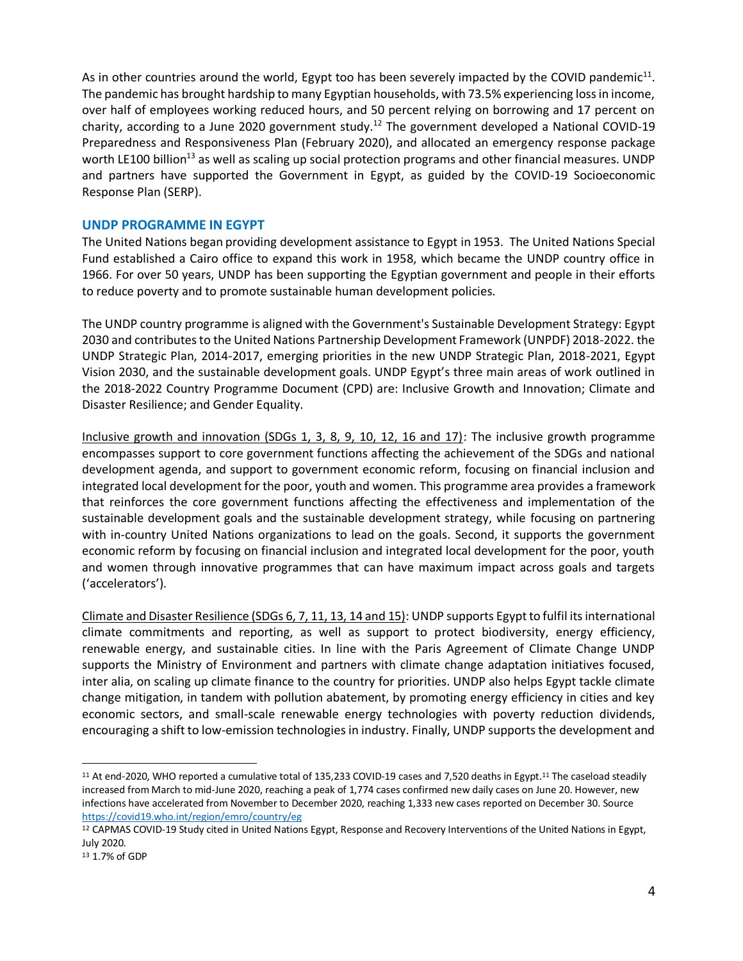As in other countries around the world, Egypt too has been severely impacted by the COVID pandemic<sup>11</sup>. The pandemic has brought hardship to many Egyptian households, with 73.5% experiencing loss in income, over half of employees working reduced hours, and 50 percent relying on borrowing and 17 percent on charity, according to a June 2020 government study.<sup>12</sup> The government developed a National COVID-19 Preparedness and Responsiveness Plan (February 2020), and allocated an emergency response package worth LE100 billion<sup>13</sup> as well as scaling up social protection programs and other financial measures. UNDP and partners have supported the Government in Egypt, as guided by the COVID-19 Socioeconomic Response Plan (SERP).

#### **UNDP PROGRAMME IN EGYPT**

The United Nations began providing development assistance to Egypt in 1953. The United Nations Special Fund established a Cairo office to expand this work in 1958, which became the UNDP country office in 1966. For over 50 years, UNDP has been supporting the Egyptian government and people in their efforts to reduce poverty and to promote sustainable human development policies.

The UNDP country programme is aligned with the Government's Sustainable Development Strategy: Egypt 2030 and contributes to the United Nations Partnership Development Framework (UNPDF) 2018-2022. the UNDP Strategic Plan, 2014-2017, emerging priorities in the new UNDP Strategic Plan, 2018-2021, Egypt Vision 2030, and the sustainable development goals. UNDP Egypt's three main areas of work outlined in the 2018-2022 Country Programme Document (CPD) are: Inclusive Growth and Innovation; Climate and Disaster Resilience; and Gender Equality.

Inclusive growth and innovation (SDGs 1, 3, 8, 9, 10, 12, 16 and 17): The inclusive growth programme encompasses support to core government functions affecting the achievement of the SDGs and national development agenda, and support to government economic reform, focusing on financial inclusion and integrated local development for the poor, youth and women. This programme area provides a framework that reinforces the core government functions affecting the effectiveness and implementation of the sustainable development goals and the sustainable development strategy, while focusing on partnering with in-country United Nations organizations to lead on the goals. Second, it supports the government economic reform by focusing on financial inclusion and integrated local development for the poor, youth and women through innovative programmes that can have maximum impact across goals and targets ('accelerators').

Climate and Disaster Resilience (SDGs 6, 7, 11, 13, 14 and 15): UNDP supports Egypt to fulfil its international climate commitments and reporting, as well as support to protect biodiversity, energy efficiency, renewable energy, and sustainable cities. In line with the Paris Agreement of Climate Change UNDP supports the Ministry of Environment and partners with climate change adaptation initiatives focused, inter alia, on scaling up climate finance to the country for priorities. UNDP also helps Egypt tackle climate change mitigation, in tandem with pollution abatement, by promoting energy efficiency in cities and key economic sectors, and small-scale renewable energy technologies with poverty reduction dividends, encouraging a shift to low-emission technologies in industry. Finally, UNDP supports the development and

<sup>&</sup>lt;sup>11</sup> At end-2020, WHO reported a cumulative total of 135,233 COVID-19 cases and 7,520 deaths in Egypt.<sup>11</sup> The caseload steadily increased from March to mid-June 2020, reaching a peak of 1,774 cases confirmed new daily cases on June 20. However, new infections have accelerated from November to December 2020, reaching 1,333 new cases reported on December 30. Source <https://covid19.who.int/region/emro/country/eg>

<sup>12</sup> CAPMAS COVID-19 Study cited in United Nations Egypt, Response and Recovery Interventions of the United Nations in Egypt, July 2020.

<sup>13</sup> 1.7% of GDP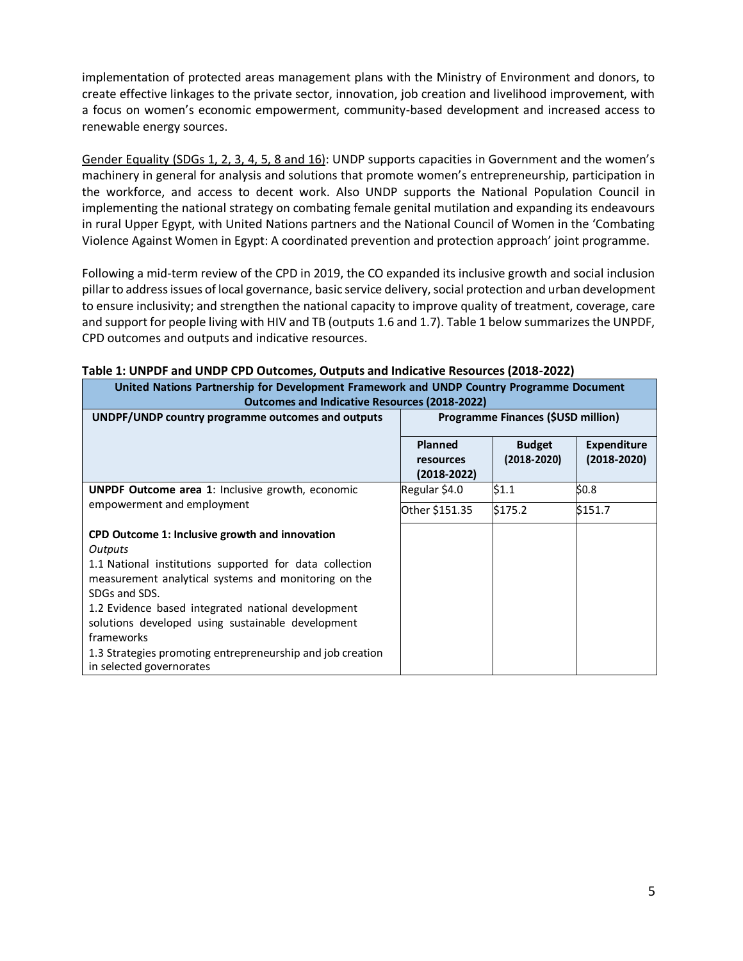implementation of protected areas management plans with the Ministry of Environment and donors, to create effective linkages to the private sector, innovation, job creation and livelihood improvement, with a focus on women's economic empowerment, community-based development and increased access to renewable energy sources.

Gender Equality (SDGs 1, 2, 3, 4, 5, 8 and 16): UNDP supports capacities in Government and the women's machinery in general for analysis and solutions that promote women's entrepreneurship, participation in the workforce, and access to decent work. Also UNDP supports the National Population Council in implementing the national strategy on combating female genital mutilation and expanding its endeavours in rural Upper Egypt, with United Nations partners and the National Council of Women in the 'Combating Violence Against Women in Egypt: A coordinated prevention and protection approach' joint programme.

Following a mid-term review of the CPD in 2019, the CO expanded its inclusive growth and social inclusion pillar to address issues of local governance, basic service delivery, social protection and urban development to ensure inclusivity; and strengthen the national capacity to improve quality of treatment, coverage, care and support for people living with HIV and TB (outputs 1.6 and 1.7). Table 1 below summarizes the UNPDF, CPD outcomes and outputs and indicative resources.

| United Nations Partnership for Development Framework and UNDP Country Programme Document<br><b>Outcomes and Indicative Resources (2018-2022)</b>                                                                                                                                                                                                                                                                 |                                         |                                  |                                       |  |  |
|------------------------------------------------------------------------------------------------------------------------------------------------------------------------------------------------------------------------------------------------------------------------------------------------------------------------------------------------------------------------------------------------------------------|-----------------------------------------|----------------------------------|---------------------------------------|--|--|
| UNDPF/UNDP country programme outcomes and outputs                                                                                                                                                                                                                                                                                                                                                                | Programme Finances (\$USD million)      |                                  |                                       |  |  |
|                                                                                                                                                                                                                                                                                                                                                                                                                  | Planned<br>resources<br>$(2018 - 2022)$ | <b>Budget</b><br>$(2018 - 2020)$ | <b>Expenditure</b><br>$(2018 - 2020)$ |  |  |
| <b>UNPDF Outcome area 1: Inclusive growth, economic</b><br>empowerment and employment                                                                                                                                                                                                                                                                                                                            | Regular \$4.0                           | \$1.1                            | \$0.8\$                               |  |  |
|                                                                                                                                                                                                                                                                                                                                                                                                                  | Other \$151.35                          | \$175.2                          | \$151.7                               |  |  |
| CPD Outcome 1: Inclusive growth and innovation<br>Outputs<br>1.1 National institutions supported for data collection<br>measurement analytical systems and monitoring on the<br>SDGs and SDS.<br>1.2 Evidence based integrated national development<br>solutions developed using sustainable development<br>frameworks<br>1.3 Strategies promoting entrepreneurship and job creation<br>in selected governorates |                                         |                                  |                                       |  |  |

#### **Table 1: UNPDF and UNDP CPD Outcomes, Outputs and Indicative Resources (2018-2022)**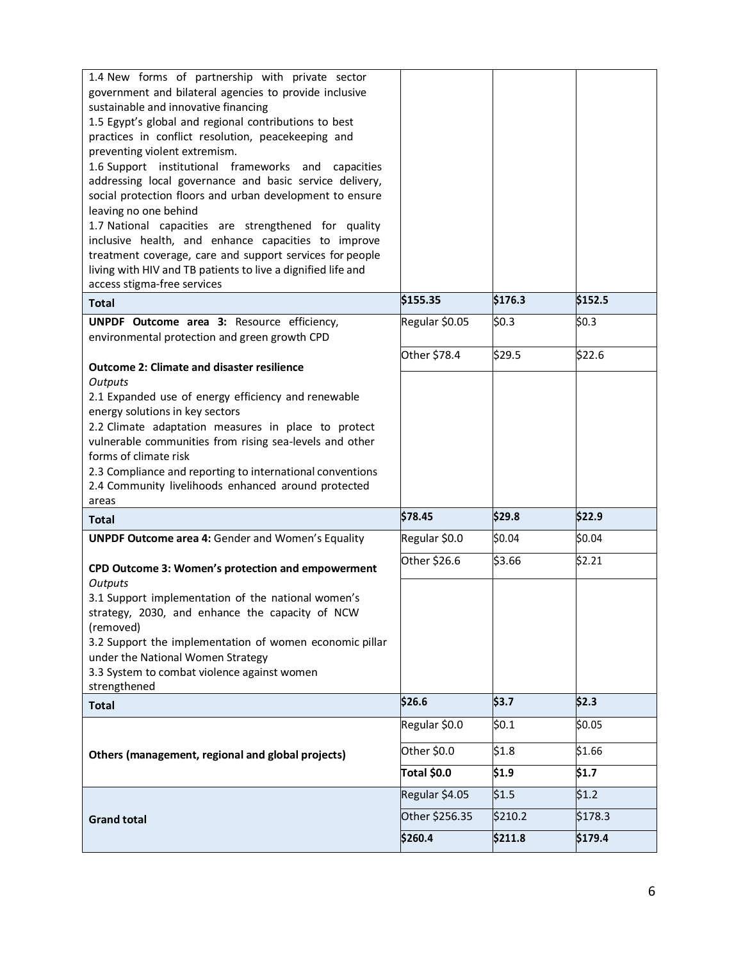| 1.4 New forms of partnership with private sector                                                                 |                |         |         |
|------------------------------------------------------------------------------------------------------------------|----------------|---------|---------|
| government and bilateral agencies to provide inclusive                                                           |                |         |         |
| sustainable and innovative financing<br>1.5 Egypt's global and regional contributions to best                    |                |         |         |
| practices in conflict resolution, peacekeeping and                                                               |                |         |         |
| preventing violent extremism.                                                                                    |                |         |         |
| 1.6 Support institutional frameworks and capacities                                                              |                |         |         |
| addressing local governance and basic service delivery,                                                          |                |         |         |
| social protection floors and urban development to ensure                                                         |                |         |         |
| leaving no one behind                                                                                            |                |         |         |
| 1.7 National capacities are strengthened for quality                                                             |                |         |         |
| inclusive health, and enhance capacities to improve                                                              |                |         |         |
| treatment coverage, care and support services for people                                                         |                |         |         |
| living with HIV and TB patients to live a dignified life and                                                     |                |         |         |
| access stigma-free services                                                                                      |                |         |         |
| <b>Total</b>                                                                                                     | \$155.35       | \$176.3 | \$152.5 |
| UNPDF Outcome area 3: Resource efficiency,                                                                       | Regular \$0.05 | \$0.3   | \$0.3\$ |
| environmental protection and green growth CPD                                                                    |                |         |         |
|                                                                                                                  | Other \$78.4   | \$29.5  | \$22.6  |
| <b>Outcome 2: Climate and disaster resilience</b>                                                                |                |         |         |
| Outputs                                                                                                          |                |         |         |
| 2.1 Expanded use of energy efficiency and renewable                                                              |                |         |         |
| energy solutions in key sectors                                                                                  |                |         |         |
| 2.2 Climate adaptation measures in place to protect                                                              |                |         |         |
| vulnerable communities from rising sea-levels and other                                                          |                |         |         |
| forms of climate risk                                                                                            |                |         |         |
| 2.3 Compliance and reporting to international conventions<br>2.4 Community livelihoods enhanced around protected |                |         |         |
| areas                                                                                                            |                |         |         |
| Total                                                                                                            | \$78.45        | \$29.8  | \$22.9  |
| <b>UNPDF Outcome area 4: Gender and Women's Equality</b>                                                         | Regular \$0.0  | \$0.04  | \$0.04  |
|                                                                                                                  | Other \$26.6   | \$3.66  | \$2.21  |
| CPD Outcome 3: Women's protection and empowerment<br>Outputs                                                     |                |         |         |
| 3.1 Support implementation of the national women's                                                               |                |         |         |
| strategy, 2030, and enhance the capacity of NCW                                                                  |                |         |         |
| (removed)                                                                                                        |                |         |         |
| 3.2 Support the implementation of women economic pillar                                                          |                |         |         |
| under the National Women Strategy                                                                                |                |         |         |
| 3.3 System to combat violence against women                                                                      |                |         |         |
| strengthened                                                                                                     |                |         |         |
| <b>Total</b>                                                                                                     | \$26.6         | \$3.7   | \$2.3   |
| Others (management, regional and global projects)                                                                | Regular \$0.0  | \$0.1   | \$0.05  |
|                                                                                                                  | Other \$0.0    | \$1.8   | \$1.66  |
|                                                                                                                  | Total \$0.0    | \$1.9   | \$1.7   |
|                                                                                                                  | Regular \$4.05 | \$1.5   | \$1.2   |
| <b>Grand total</b>                                                                                               | Other \$256.35 | \$210.2 | \$178.3 |
|                                                                                                                  | \$260.4        | \$211.8 | \$179.4 |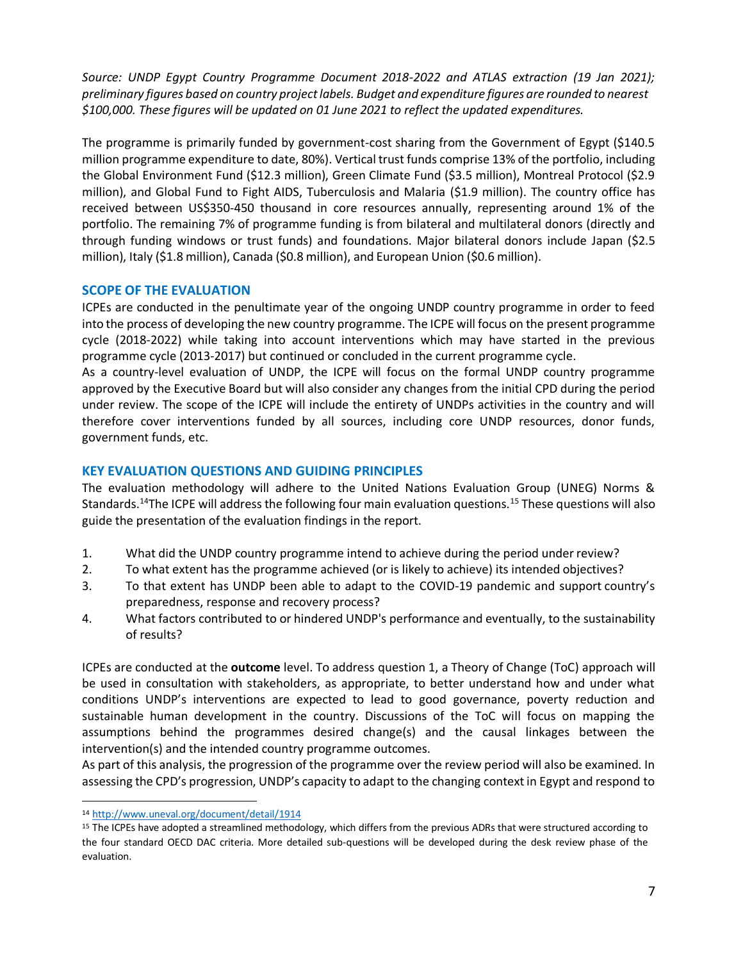*Source: UNDP Egypt Country Programme Document 2018-2022 and ATLAS extraction (19 Jan 2021); preliminary figures based on country projectlabels. Budget and expenditure figures are rounded to nearest \$100,000. These figures will be updated on 01 June 2021 to reflect the updated expenditures.*

The programme is primarily funded by government-cost sharing from the Government of Egypt (\$140.5 million programme expenditure to date, 80%). Vertical trust funds comprise 13% of the portfolio, including the Global Environment Fund (\$12.3 million), Green Climate Fund (\$3.5 million), Montreal Protocol (\$2.9 million), and Global Fund to Fight AIDS, Tuberculosis and Malaria (\$1.9 million). The country office has received between US\$350-450 thousand in core resources annually, representing around 1% of the portfolio. The remaining 7% of programme funding is from bilateral and multilateral donors (directly and through funding windows or trust funds) and foundations. Major bilateral donors include Japan (\$2.5 million), Italy (\$1.8 million), Canada (\$0.8 million), and European Union (\$0.6 million).

# **SCOPE OF THE EVALUATION**

ICPEs are conducted in the penultimate year of the ongoing UNDP country programme in order to feed into the process of developing the new country programme. The ICPE will focus on the present programme cycle (2018-2022) while taking into account interventions which may have started in the previous programme cycle (2013-2017) but continued or concluded in the current programme cycle.

As a country-level evaluation of UNDP, the ICPE will focus on the formal UNDP country programme approved by the Executive Board but will also consider any changes from the initial CPD during the period under review. The scope of the ICPE will include the entirety of UNDPs activities in the country and will therefore cover interventions funded by all sources, including core UNDP resources, donor funds, government funds, etc.

# **KEY EVALUATION QUESTIONS AND GUIDING PRINCIPLES**

The evaluation methodology will adhere to the United Nations Evaluation Group (UNEG) Norms & Standards.<sup>14</sup>The ICPE will address the following four main evaluation questions.<sup>15</sup> These questions will also guide the presentation of the evaluation findings in the report.

- 1. What did the UNDP country programme intend to achieve during the period under review?
- 2. To what extent has the programme achieved (or is likely to achieve) its intended objectives?
- 3. To that extent has UNDP been able to adapt to the COVID-19 pandemic and support country's preparedness, response and recovery process?
- 4. What factors contributed to or hindered UNDP's performance and eventually, to the sustainability of results?

ICPEs are conducted at the **outcome** level. To address question 1, a Theory of Change (ToC) approach will be used in consultation with stakeholders, as appropriate, to better understand how and under what conditions UNDP's interventions are expected to lead to good governance, poverty reduction and sustainable human development in the country. Discussions of the ToC will focus on mapping the assumptions behind the programmes desired change(s) and the causal linkages between the intervention(s) and the intended country programme outcomes.

As part of this analysis, the progression of the programme over the review period will also be examined. In assessing the CPD's progression, UNDP's capacity to adapt to the changing context in Egypt and respond to

<sup>14</sup> <http://www.uneval.org/document/detail/1914>

<sup>&</sup>lt;sup>15</sup> The ICPEs have adopted a streamlined methodology, which differs from the previous ADRs that were structured according to the four standard OECD DAC criteria. More detailed sub-questions will be developed during the desk review phase of the evaluation.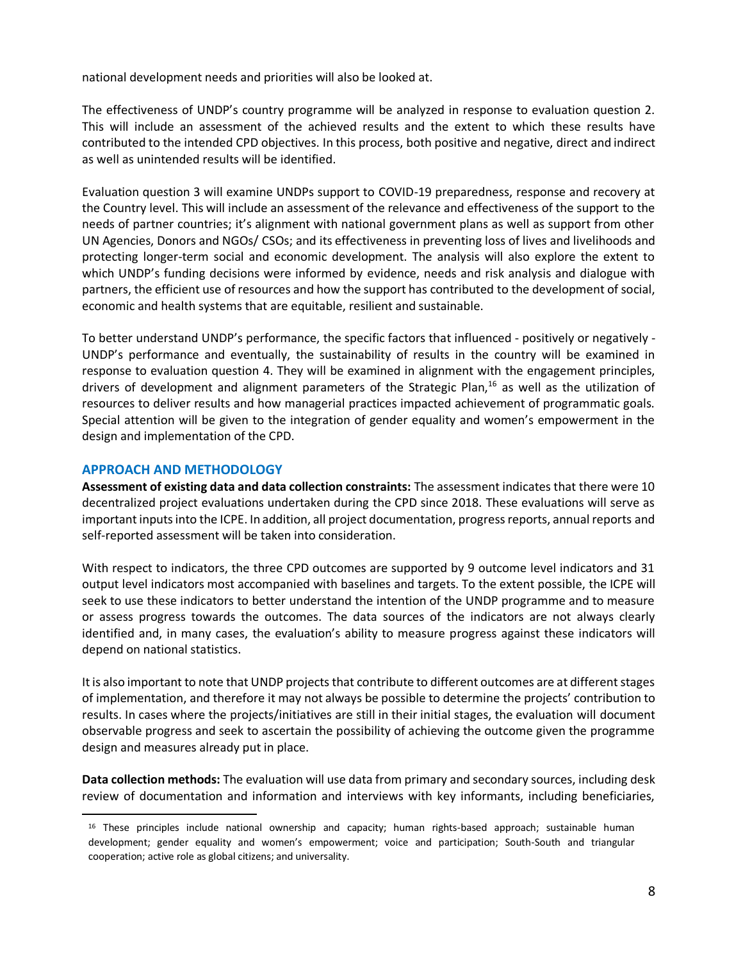national development needs and priorities will also be looked at.

The effectiveness of UNDP's country programme will be analyzed in response to evaluation question 2. This will include an assessment of the achieved results and the extent to which these results have contributed to the intended CPD objectives. In this process, both positive and negative, direct and indirect as well as unintended results will be identified.

Evaluation question 3 will examine UNDPs support to COVID-19 preparedness, response and recovery at the Country level. This will include an assessment of the relevance and effectiveness of the support to the needs of partner countries; it's alignment with national government plans as well as support from other UN Agencies, Donors and NGOs/ CSOs; and its effectiveness in preventing loss of lives and livelihoods and protecting longer-term social and economic development. The analysis will also explore the extent to which UNDP's funding decisions were informed by evidence, needs and risk analysis and dialogue with partners, the efficient use of resources and how the support has contributed to the development of social, economic and health systems that are equitable, resilient and sustainable.

To better understand UNDP's performance, the specific factors that influenced - positively or negatively - UNDP's performance and eventually, the sustainability of results in the country will be examined in response to evaluation question 4. They will be examined in alignment with the engagement principles, drivers of development and alignment parameters of the Strategic Plan,<sup>16</sup> as well as the utilization of resources to deliver results and how managerial practices impacted achievement of programmatic goals. Special attention will be given to the integration of gender equality and women's empowerment in the design and implementation of the CPD.

#### **APPROACH AND METHODOLOGY**

**Assessment of existing data and data collection constraints:** The assessment indicates that there were 10 decentralized project evaluations undertaken during the CPD since 2018. These evaluations will serve as important inputs into the ICPE. In addition, all project documentation, progress reports, annual reports and self-reported assessment will be taken into consideration.

With respect to indicators, the three CPD outcomes are supported by 9 outcome level indicators and 31 output level indicators most accompanied with baselines and targets. To the extent possible, the ICPE will seek to use these indicators to better understand the intention of the UNDP programme and to measure or assess progress towards the outcomes. The data sources of the indicators are not always clearly identified and, in many cases, the evaluation's ability to measure progress against these indicators will depend on national statistics.

It is also important to note that UNDP projects that contribute to different outcomes are at different stages of implementation, and therefore it may not always be possible to determine the projects' contribution to results. In cases where the projects/initiatives are still in their initial stages, the evaluation will document observable progress and seek to ascertain the possibility of achieving the outcome given the programme design and measures already put in place.

**Data collection methods:** The evaluation will use data from primary and secondary sources, including desk review of documentation and information and interviews with key informants, including beneficiaries,

<sup>16</sup> These principles include national ownership and capacity; human rights-based approach; sustainable human development; gender equality and women's empowerment; voice and participation; South-South and triangular cooperation; active role as global citizens; and universality.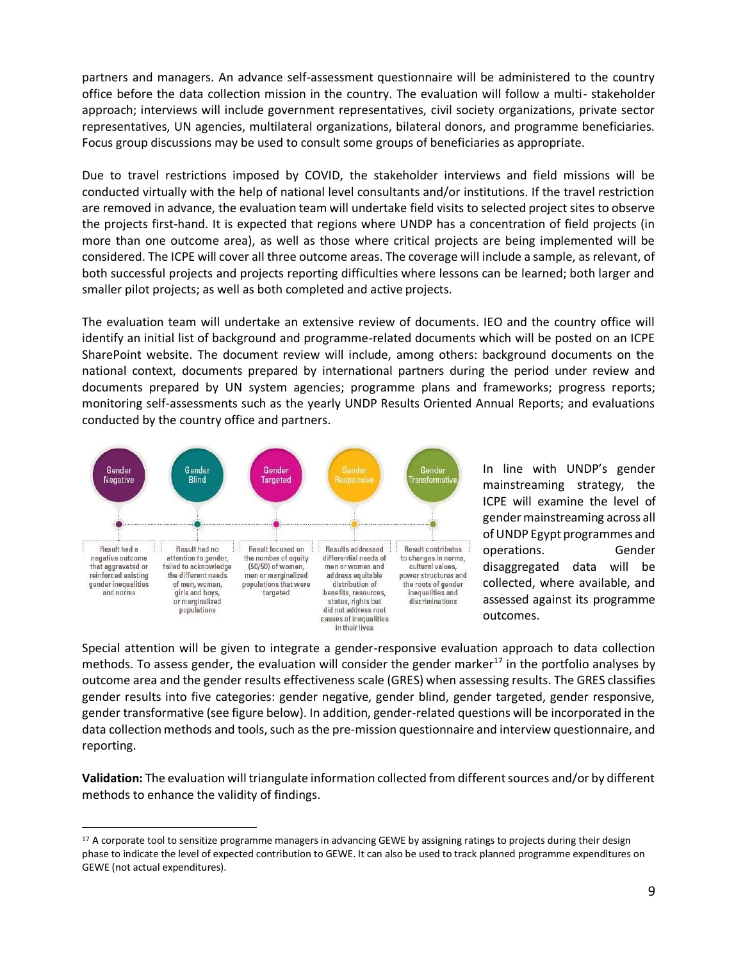partners and managers. An advance self-assessment questionnaire will be administered to the country office before the data collection mission in the country. The evaluation will follow a multi- stakeholder approach; interviews will include government representatives, civil society organizations, private sector representatives, UN agencies, multilateral organizations, bilateral donors, and programme beneficiaries. Focus group discussions may be used to consult some groups of beneficiaries as appropriate.

Due to travel restrictions imposed by COVID, the stakeholder interviews and field missions will be conducted virtually with the help of national level consultants and/or institutions. If the travel restriction are removed in advance, the evaluation team will undertake field visits to selected project sites to observe the projects first-hand. It is expected that regions where UNDP has a concentration of field projects (in more than one outcome area), as well as those where critical projects are being implemented will be considered. The ICPE will cover all three outcome areas. The coverage will include a sample, as relevant, of both successful projects and projects reporting difficulties where lessons can be learned; both larger and smaller pilot projects; as well as both completed and active projects.

The evaluation team will undertake an extensive review of documents. IEO and the country office will identify an initial list of background and programme-related documents which will be posted on an ICPE SharePoint website. The document review will include, among others: background documents on the national context, documents prepared by international partners during the period under review and documents prepared by UN system agencies; programme plans and frameworks; progress reports; monitoring self-assessments such as the yearly UNDP Results Oriented Annual Reports; and evaluations conducted by the country office and partners.



In line with UNDP's gender mainstreaming strategy, the ICPE will examine the level of gendermainstreaming across all of UNDP Egypt programmes and operations. Gender disaggregated data will be collected, where available, and assessed against its programme outcomes.

Special attention will be given to integrate a gender-responsive evaluation approach to data collection methods. To assess gender, the evaluation will consider the gender marker<sup>17</sup> in the portfolio analyses by outcome area and the gender results effectiveness scale (GRES) when assessing results. The GRES classifies gender results into five categories: gender negative, gender blind, gender targeted, gender responsive, gender transformative (see figure below). In addition, gender-related questions will be incorporated in the data collection methods and tools, such as the pre-mission questionnaire and interview questionnaire, and reporting.

**Validation:** The evaluation will triangulate information collected from different sources and/or by different methods to enhance the validity of findings.

<sup>&</sup>lt;sup>17</sup> A corporate tool to sensitize programme managers in advancing GEWE by assigning ratings to projects during their design phase to indicate the level of expected contribution to GEWE. It can also be used to track planned programme expenditures on GEWE (not actual expenditures).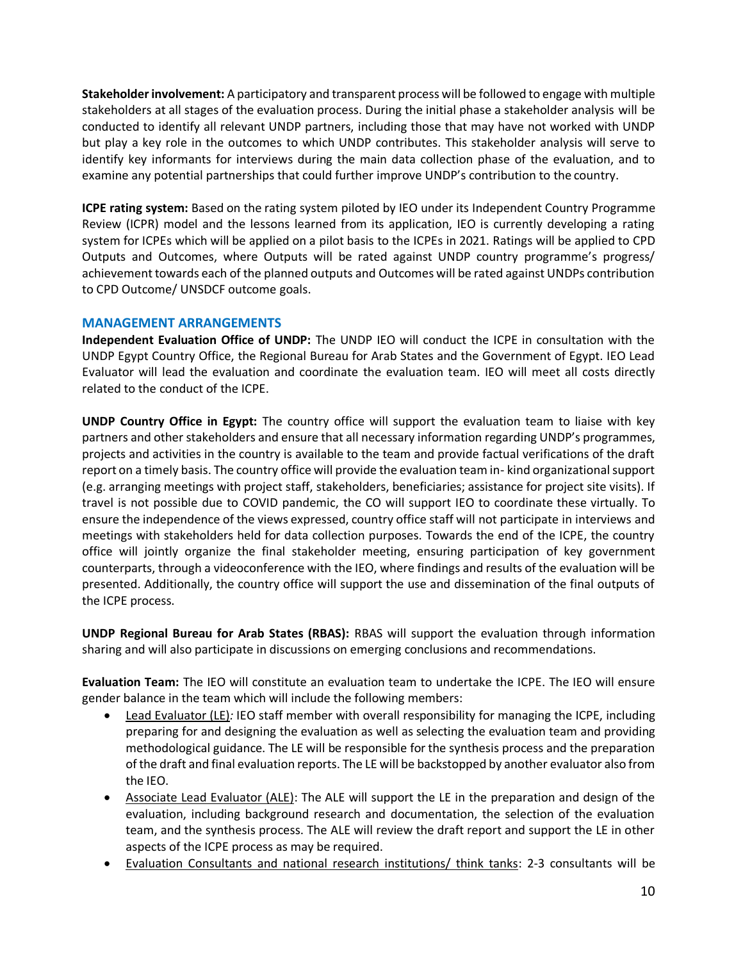**Stakeholder involvement:** A participatory and transparent process will be followed to engage with multiple stakeholders at all stages of the evaluation process. During the initial phase a stakeholder analysis will be conducted to identify all relevant UNDP partners, including those that may have not worked with UNDP but play a key role in the outcomes to which UNDP contributes. This stakeholder analysis will serve to identify key informants for interviews during the main data collection phase of the evaluation, and to examine any potential partnerships that could further improve UNDP's contribution to the country.

**ICPE rating system:** Based on the rating system piloted by IEO under its Independent Country Programme Review (ICPR) model and the lessons learned from its application, IEO is currently developing a rating system for ICPEs which will be applied on a pilot basis to the ICPEs in 2021. Ratings will be applied to CPD Outputs and Outcomes, where Outputs will be rated against UNDP country programme's progress/ achievement towards each of the planned outputs and Outcomes will be rated against UNDPs contribution to CPD Outcome/ UNSDCF outcome goals.

# **MANAGEMENT ARRANGEMENTS**

**Independent Evaluation Office of UNDP:** The UNDP IEO will conduct the ICPE in consultation with the UNDP Egypt Country Office, the Regional Bureau for Arab States and the Government of Egypt. IEO Lead Evaluator will lead the evaluation and coordinate the evaluation team. IEO will meet all costs directly related to the conduct of the ICPE.

**UNDP Country Office in Egypt:** The country office will support the evaluation team to liaise with key partners and other stakeholders and ensure that all necessary information regarding UNDP's programmes, projects and activities in the country is available to the team and provide factual verifications of the draft report on a timely basis. The country office will provide the evaluation team in- kind organizational support (e.g. arranging meetings with project staff, stakeholders, beneficiaries; assistance for project site visits). If travel is not possible due to COVID pandemic, the CO will support IEO to coordinate these virtually. To ensure the independence of the views expressed, country office staff will not participate in interviews and meetings with stakeholders held for data collection purposes. Towards the end of the ICPE, the country office will jointly organize the final stakeholder meeting, ensuring participation of key government counterparts, through a videoconference with the IEO, where findings and results of the evaluation will be presented. Additionally, the country office will support the use and dissemination of the final outputs of the ICPE process.

**UNDP Regional Bureau for Arab States (RBAS):** RBAS will support the evaluation through information sharing and will also participate in discussions on emerging conclusions and recommendations.

**Evaluation Team:** The IEO will constitute an evaluation team to undertake the ICPE. The IEO will ensure gender balance in the team which will include the following members:

- Lead Evaluator (LE)*:* IEO staff member with overall responsibility for managing the ICPE, including preparing for and designing the evaluation as well as selecting the evaluation team and providing methodological guidance. The LE will be responsible for the synthesis process and the preparation of the draft and final evaluation reports. The LE will be backstopped by another evaluator also from the IEO.
- Associate Lead Evaluator (ALE): The ALE will support the LE in the preparation and design of the evaluation, including background research and documentation, the selection of the evaluation team, and the synthesis process. The ALE will review the draft report and support the LE in other aspects of the ICPE process as may be required.
- Evaluation Consultants and national research institutions/ think tanks: 2-3 consultants will be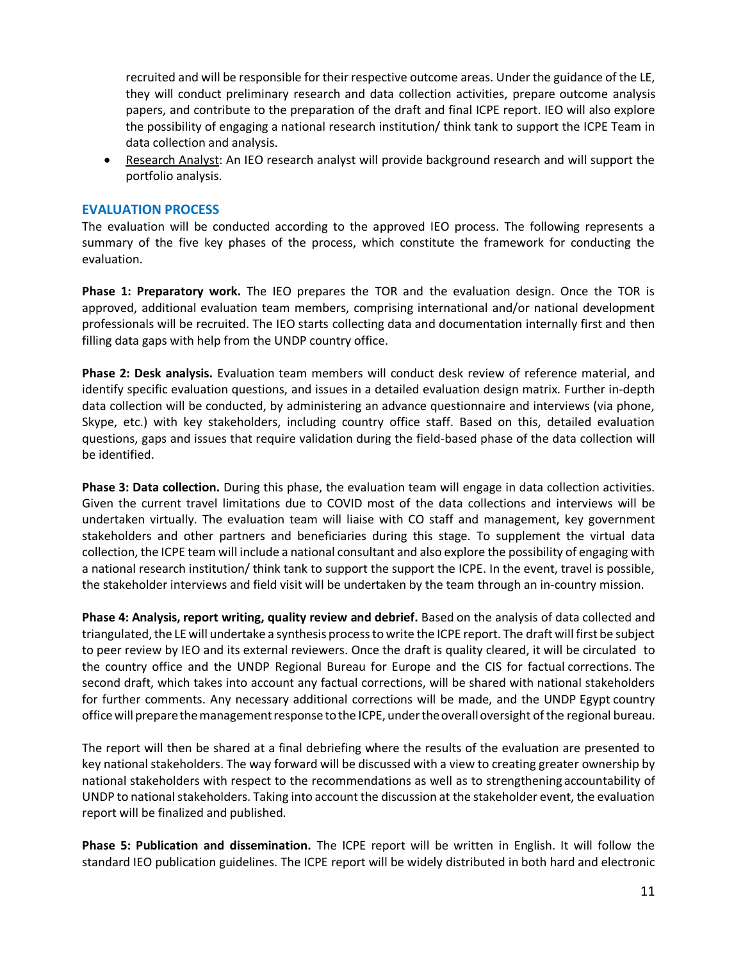recruited and will be responsible for their respective outcome areas. Under the guidance of the LE, they will conduct preliminary research and data collection activities, prepare outcome analysis papers, and contribute to the preparation of the draft and final ICPE report. IEO will also explore the possibility of engaging a national research institution/ think tank to support the ICPE Team in data collection and analysis.

• Research Analyst: An IEO research analyst will provide background research and will support the portfolio analysis.

# **EVALUATION PROCESS**

The evaluation will be conducted according to the approved IEO process. The following represents a summary of the five key phases of the process, which constitute the framework for conducting the evaluation.

**Phase 1: Preparatory work.** The IEO prepares the TOR and the evaluation design. Once the TOR is approved, additional evaluation team members, comprising international and/or national development professionals will be recruited. The IEO starts collecting data and documentation internally first and then filling data gaps with help from the UNDP country office.

**Phase 2: Desk analysis.** Evaluation team members will conduct desk review of reference material, and identify specific evaluation questions, and issues in a detailed evaluation design matrix. Further in-depth data collection will be conducted, by administering an advance questionnaire and interviews (via phone, Skype, etc.) with key stakeholders, including country office staff. Based on this, detailed evaluation questions, gaps and issues that require validation during the field-based phase of the data collection will be identified.

**Phase 3: Data collection.** During this phase, the evaluation team will engage in data collection activities. Given the current travel limitations due to COVID most of the data collections and interviews will be undertaken virtually. The evaluation team will liaise with CO staff and management, key government stakeholders and other partners and beneficiaries during this stage. To supplement the virtual data collection, the ICPE team will include a national consultant and also explore the possibility of engaging with a national research institution/ think tank to support the support the ICPE. In the event, travel is possible, the stakeholder interviews and field visit will be undertaken by the team through an in-country mission.

**Phase 4: Analysis, report writing, quality review and debrief.** Based on the analysis of data collected and triangulated, the LE will undertake a synthesis process to write the ICPE report. The draft will first be subject to peer review by IEO and its external reviewers. Once the draft is quality cleared, it will be circulated to the country office and the UNDP Regional Bureau for Europe and the CIS for factual corrections. The second draft, which takes into account any factual corrections, will be shared with national stakeholders for further comments. Any necessary additional corrections will be made, and the UNDP Egypt country office will prepare the management response to the ICPE, under the overall oversight of the regional bureau.

The report will then be shared at a final debriefing where the results of the evaluation are presented to key national stakeholders. The way forward will be discussed with a view to creating greater ownership by national stakeholders with respect to the recommendations as well as to strengthening accountability of UNDP to national stakeholders. Taking into account the discussion at the stakeholder event, the evaluation report will be finalized and published.

**Phase 5: Publication and dissemination.** The ICPE report will be written in English. It will follow the standard IEO publication guidelines. The ICPE report will be widely distributed in both hard and electronic